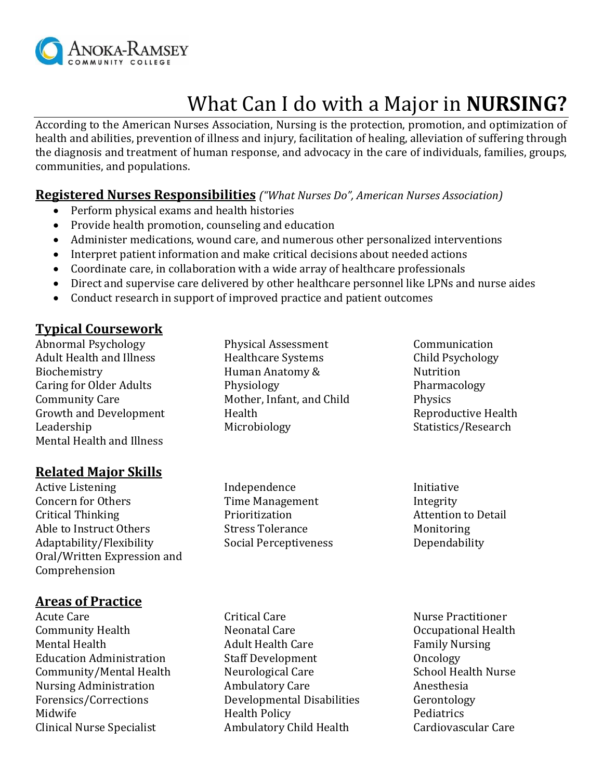

# What Can I do with a Major in **NURSING?**

According to the American Nurses Association, Nursing is the protection, promotion, and optimization of health and abilities, prevention of illness and injury, facilitation of healing, alleviation of suffering through the diagnosis and treatment of human response, and advocacy in the care of individuals, families, groups, communities, and populations.

#### **Registered Nurses Responsibilities** *("What Nurses Do", American Nurses Association)*

- Perform physical exams and health histories
- Provide health promotion, counseling and education
- Administer medications, wound care, and numerous other personalized interventions
- Interpret patient information and make critical decisions about needed actions
- Coordinate care, in collaboration with a wide array of healthcare professionals
- Direct and supervise care delivered by other healthcare personnel like LPNs and nurse aides
- Conduct research in support of improved practice and patient outcomes

### **Typical Coursework**

Abnormal Psychology Adult Health and Illness Biochemistry Caring for Older Adults Community Care Growth and Development Leadership Mental Health and Illness

## **Related Major Skills**

Active Listening Concern for Others Critical Thinking Able to Instruct Others Adaptability/Flexibility Oral/Written Expression and Comprehension

#### **Areas of Practice**

Acute Care Community Health Mental Health Education Administration Community/Mental Health Nursing Administration Forensics/Corrections Midwife Clinical Nurse Specialist

- Physical Assessment Healthcare Systems Human Anatomy & Physiology Mother, Infant, and Child Health Microbiology
- Communication Child Psychology Nutrition Pharmacology Physics Reproductive Health Statistics/Research

- Independence Time Management Prioritization Stress Tolerance Social Perceptiveness
- Initiative Integrity Attention to Detail Monitoring Dependability

- Critical Care Neonatal Care Adult Health Care Staff Development Neurological Care Ambulatory Care Developmental Disabilities Health Policy Ambulatory Child Health
- Nurse Practitioner Occupational Health Family Nursing Oncology School Health Nurse Anesthesia Gerontology **Pediatrics** Cardiovascular Care